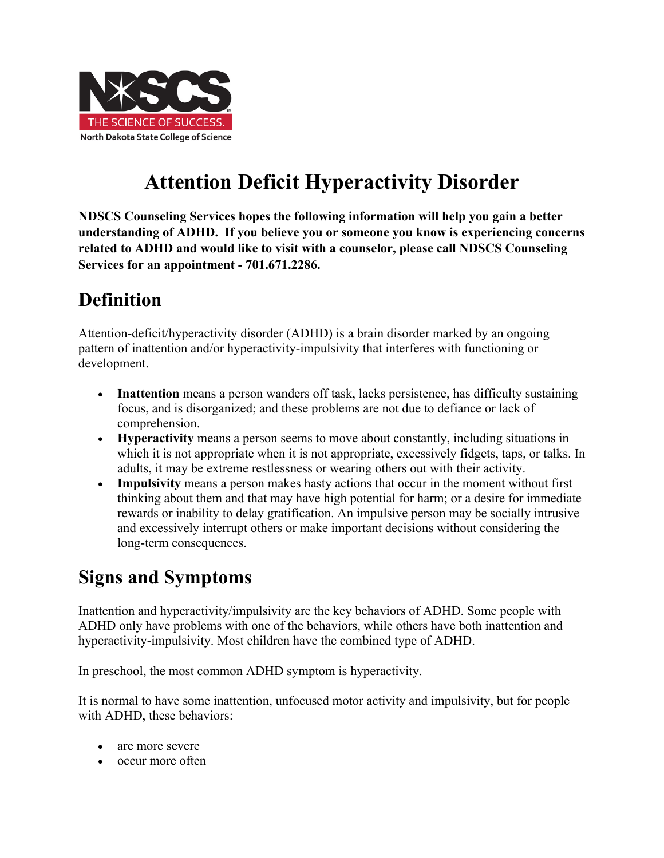

# **Attention Deficit Hyperactivity Disorder**

**NDSCS Counseling Services hopes the following information will help you gain a better understanding of ADHD. If you believe you or someone you know is experiencing concerns related to ADHD and would like to visit with a counselor, please call NDSCS Counseling Services for an appointment - 701.671.2286.** 

## **Definition**

Attention-deficit/hyperactivity disorder (ADHD) is a brain disorder marked by an ongoing pattern of inattention and/or hyperactivity-impulsivity that interferes with functioning or development.

- **Inattention** means a person wanders off task, lacks persistence, has difficulty sustaining focus, and is disorganized; and these problems are not due to defiance or lack of comprehension.
- **Hyperactivity** means a person seems to move about constantly, including situations in which it is not appropriate when it is not appropriate, excessively fidgets, taps, or talks. In adults, it may be extreme restlessness or wearing others out with their activity.
- **Impulsivity** means a person makes hasty actions that occur in the moment without first thinking about them and that may have high potential for harm; or a desire for immediate rewards or inability to delay gratification. An impulsive person may be socially intrusive and excessively interrupt others or make important decisions without considering the long-term consequences.

## **Signs and Symptoms**

Inattention and hyperactivity/impulsivity are the key behaviors of ADHD. Some people with ADHD only have problems with one of the behaviors, while others have both inattention and hyperactivity-impulsivity. Most children have the combined type of ADHD.

In preschool, the most common ADHD symptom is hyperactivity.

It is normal to have some inattention, unfocused motor activity and impulsivity, but for people with ADHD, these behaviors:

- are more severe
- occur more often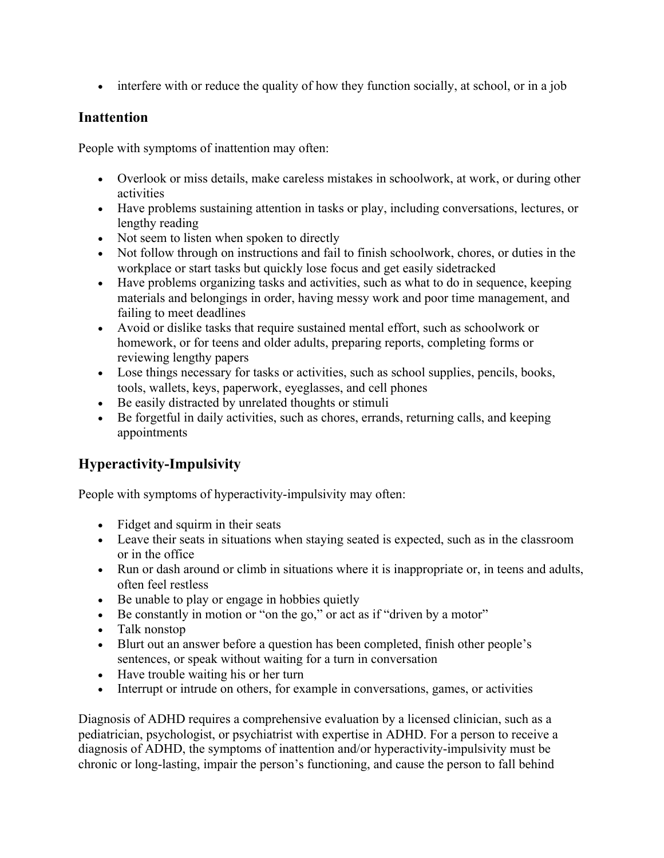• interfere with or reduce the quality of how they function socially, at school, or in a job

#### **Inattention**

People with symptoms of inattention may often:

- Overlook or miss details, make careless mistakes in schoolwork, at work, or during other activities
- Have problems sustaining attention in tasks or play, including conversations, lectures, or lengthy reading
- Not seem to listen when spoken to directly
- Not follow through on instructions and fail to finish schoolwork, chores, or duties in the workplace or start tasks but quickly lose focus and get easily sidetracked
- Have problems organizing tasks and activities, such as what to do in sequence, keeping materials and belongings in order, having messy work and poor time management, and failing to meet deadlines
- Avoid or dislike tasks that require sustained mental effort, such as schoolwork or homework, or for teens and older adults, preparing reports, completing forms or reviewing lengthy papers
- Lose things necessary for tasks or activities, such as school supplies, pencils, books, tools, wallets, keys, paperwork, eyeglasses, and cell phones
- Be easily distracted by unrelated thoughts or stimuli
- Be forgetful in daily activities, such as chores, errands, returning calls, and keeping appointments

### **Hyperactivity-Impulsivity**

People with symptoms of hyperactivity-impulsivity may often:

- Fidget and squirm in their seats
- Leave their seats in situations when staying seated is expected, such as in the classroom or in the office
- Run or dash around or climb in situations where it is inappropriate or, in teens and adults, often feel restless
- Be unable to play or engage in hobbies quietly
- Be constantly in motion or "on the go," or act as if "driven by a motor"
- Talk nonstop
- Blurt out an answer before a question has been completed, finish other people's sentences, or speak without waiting for a turn in conversation
- Have trouble waiting his or her turn
- Interrupt or intrude on others, for example in conversations, games, or activities

Diagnosis of ADHD requires a comprehensive evaluation by a licensed clinician, such as a pediatrician, psychologist, or psychiatrist with expertise in ADHD. For a person to receive a diagnosis of ADHD, the symptoms of inattention and/or hyperactivity-impulsivity must be chronic or long-lasting, impair the person's functioning, and cause the person to fall behind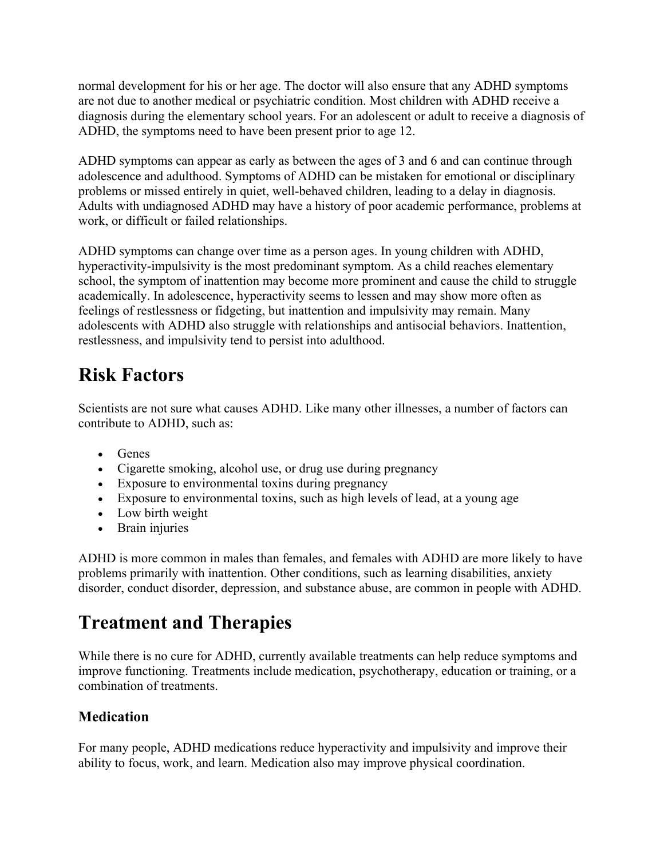normal development for his or her age. The doctor will also ensure that any ADHD symptoms are not due to another medical or psychiatric condition. Most children with ADHD receive a diagnosis during the elementary school years. For an adolescent or adult to receive a diagnosis of ADHD, the symptoms need to have been present prior to age 12.

ADHD symptoms can appear as early as between the ages of 3 and 6 and can continue through adolescence and adulthood. Symptoms of ADHD can be mistaken for emotional or disciplinary problems or missed entirely in quiet, well-behaved children, leading to a delay in diagnosis. Adults with undiagnosed ADHD may have a history of poor academic performance, problems at work, or difficult or failed relationships.

ADHD symptoms can change over time as a person ages. In young children with ADHD, hyperactivity-impulsivity is the most predominant symptom. As a child reaches elementary school, the symptom of inattention may become more prominent and cause the child to struggle academically. In adolescence, hyperactivity seems to lessen and may show more often as feelings of restlessness or fidgeting, but inattention and impulsivity may remain. Many adolescents with ADHD also struggle with relationships and antisocial behaviors. Inattention, restlessness, and impulsivity tend to persist into adulthood.

## **Risk Factors**

Scientists are not sure what causes ADHD. Like many other illnesses, a number of factors can contribute to ADHD, such as:

- Genes
- Cigarette smoking, alcohol use, or drug use during pregnancy
- Exposure to environmental toxins during pregnancy
- Exposure to environmental toxins, such as high levels of lead, at a young age
- Low birth weight
- Brain injuries

ADHD is more common in males than females, and females with ADHD are more likely to have problems primarily with inattention. Other conditions, such as learning disabilities, anxiety disorder, conduct disorder, depression, and substance abuse, are common in people with ADHD.

## **Treatment and Therapies**

While there is no cure for ADHD, currently available treatments can help reduce symptoms and improve functioning. Treatments include medication, psychotherapy, education or training, or a combination of treatments.

### **Medication**

For many people, ADHD medications reduce hyperactivity and impulsivity and improve their ability to focus, work, and learn. Medication also may improve physical coordination.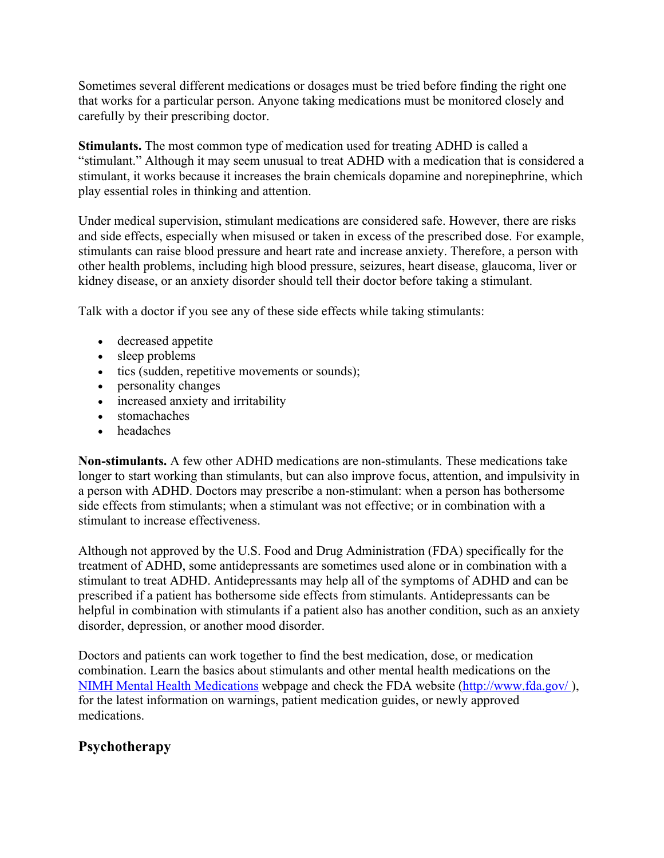Sometimes several different medications or dosages must be tried before finding the right one that works for a particular person. Anyone taking medications must be monitored closely and carefully by their prescribing doctor.

**Stimulants.** The most common type of medication used for treating ADHD is called a "stimulant." Although it may seem unusual to treat ADHD with a medication that is considered a stimulant, it works because it increases the brain chemicals dopamine and norepinephrine, which play essential roles in thinking and attention.

Under medical supervision, stimulant medications are considered safe. However, there are risks and side effects, especially when misused or taken in excess of the prescribed dose. For example, stimulants can raise blood pressure and heart rate and increase anxiety. Therefore, a person with other health problems, including high blood pressure, seizures, heart disease, glaucoma, liver or kidney disease, or an anxiety disorder should tell their doctor before taking a stimulant.

Talk with a doctor if you see any of these side effects while taking stimulants:

- decreased appetite
- sleep problems
- tics (sudden, repetitive movements or sounds);
- personality changes
- increased anxiety and irritability
- stomachaches
- headaches

**Non-stimulants.** A few other ADHD medications are non-stimulants. These medications take longer to start working than stimulants, but can also improve focus, attention, and impulsivity in a person with ADHD. Doctors may prescribe a non-stimulant: when a person has bothersome side effects from stimulants; when a stimulant was not effective; or in combination with a stimulant to increase effectiveness.

Although not approved by the U.S. Food and Drug Administration (FDA) specifically for the treatment of ADHD, some antidepressants are sometimes used alone or in combination with a stimulant to treat ADHD. Antidepressants may help all of the symptoms of ADHD and can be prescribed if a patient has bothersome side effects from stimulants. Antidepressants can be helpful in combination with stimulants if a patient also has another condition, such as an anxiety disorder, depression, or another mood disorder.

Doctors and patients can work together to find the best medication, dose, or medication combination. Learn the basics about stimulants and other mental health medications on the NIMH Mental Health Medications webpage and check the FDA website (http://www.fda.gov/ ), for the latest information on warnings, patient medication guides, or newly approved medications.

### **Psychotherapy**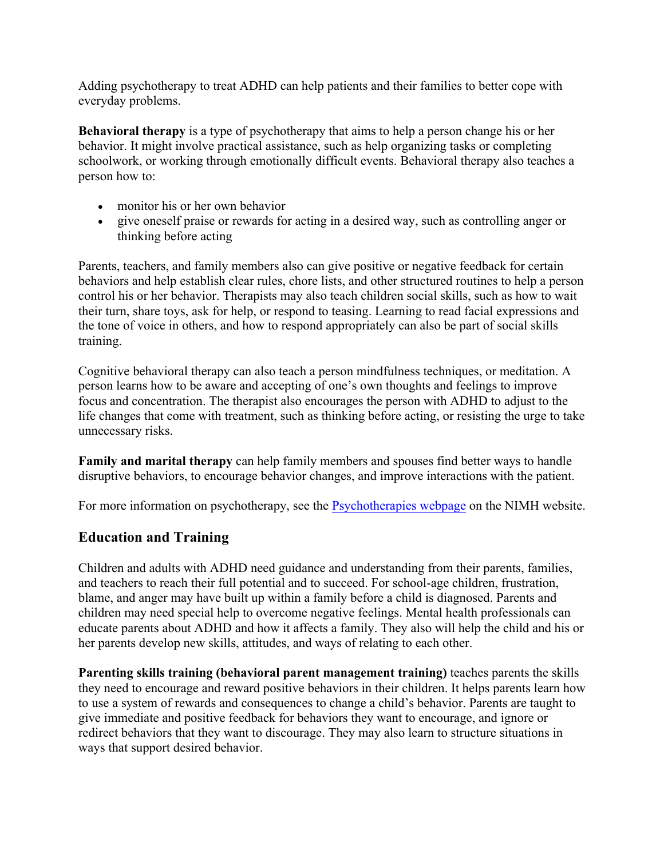Adding psychotherapy to treat ADHD can help patients and their families to better cope with everyday problems.

**Behavioral therapy** is a type of psychotherapy that aims to help a person change his or her behavior. It might involve practical assistance, such as help organizing tasks or completing schoolwork, or working through emotionally difficult events. Behavioral therapy also teaches a person how to:

- monitor his or her own behavior
- give oneself praise or rewards for acting in a desired way, such as controlling anger or thinking before acting

Parents, teachers, and family members also can give positive or negative feedback for certain behaviors and help establish clear rules, chore lists, and other structured routines to help a person control his or her behavior. Therapists may also teach children social skills, such as how to wait their turn, share toys, ask for help, or respond to teasing. Learning to read facial expressions and the tone of voice in others, and how to respond appropriately can also be part of social skills training.

Cognitive behavioral therapy can also teach a person mindfulness techniques, or meditation. A person learns how to be aware and accepting of one's own thoughts and feelings to improve focus and concentration. The therapist also encourages the person with ADHD to adjust to the life changes that come with treatment, such as thinking before acting, or resisting the urge to take unnecessary risks.

**Family and marital therapy** can help family members and spouses find better ways to handle disruptive behaviors, to encourage behavior changes, and improve interactions with the patient.

For more information on psychotherapy, see the Psychotherapies webpage on the NIMH website.

#### **Education and Training**

Children and adults with ADHD need guidance and understanding from their parents, families, and teachers to reach their full potential and to succeed. For school-age children, frustration, blame, and anger may have built up within a family before a child is diagnosed. Parents and children may need special help to overcome negative feelings. Mental health professionals can educate parents about ADHD and how it affects a family. They also will help the child and his or her parents develop new skills, attitudes, and ways of relating to each other.

**Parenting skills training (behavioral parent management training)** teaches parents the skills they need to encourage and reward positive behaviors in their children. It helps parents learn how to use a system of rewards and consequences to change a child's behavior. Parents are taught to give immediate and positive feedback for behaviors they want to encourage, and ignore or redirect behaviors that they want to discourage. They may also learn to structure situations in ways that support desired behavior.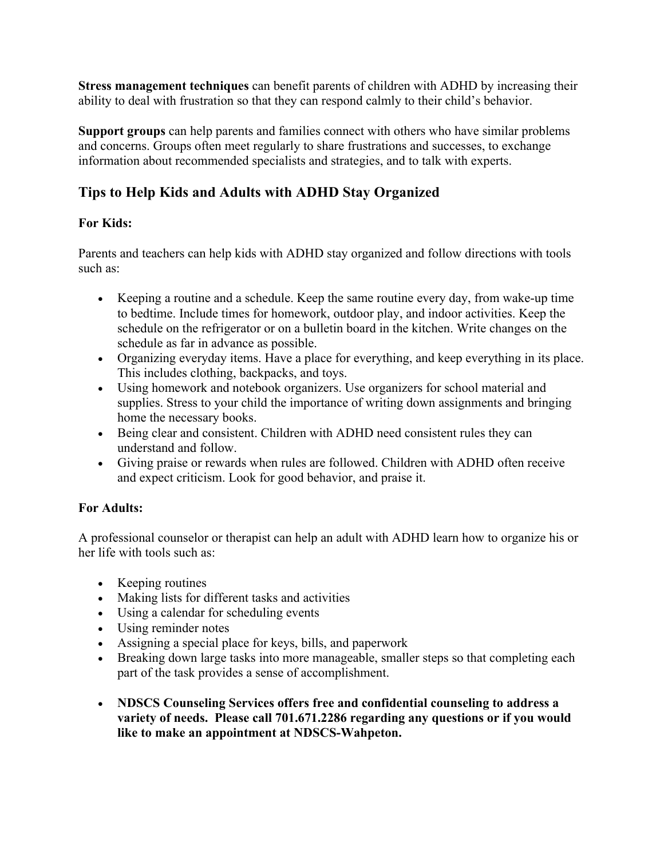**Stress management techniques** can benefit parents of children with ADHD by increasing their ability to deal with frustration so that they can respond calmly to their child's behavior.

**Support groups** can help parents and families connect with others who have similar problems and concerns. Groups often meet regularly to share frustrations and successes, to exchange information about recommended specialists and strategies, and to talk with experts.

### **Tips to Help Kids and Adults with ADHD Stay Organized**

#### **For Kids:**

Parents and teachers can help kids with ADHD stay organized and follow directions with tools such as:

- Keeping a routine and a schedule. Keep the same routine every day, from wake-up time to bedtime. Include times for homework, outdoor play, and indoor activities. Keep the schedule on the refrigerator or on a bulletin board in the kitchen. Write changes on the schedule as far in advance as possible.
- Organizing everyday items. Have a place for everything, and keep everything in its place. This includes clothing, backpacks, and toys.
- Using homework and notebook organizers. Use organizers for school material and supplies. Stress to your child the importance of writing down assignments and bringing home the necessary books.
- Being clear and consistent. Children with ADHD need consistent rules they can understand and follow.
- Giving praise or rewards when rules are followed. Children with ADHD often receive and expect criticism. Look for good behavior, and praise it.

#### **For Adults:**

A professional counselor or therapist can help an adult with ADHD learn how to organize his or her life with tools such as:

- Keeping routines
- Making lists for different tasks and activities
- Using a calendar for scheduling events
- Using reminder notes
- Assigning a special place for keys, bills, and paperwork
- Breaking down large tasks into more manageable, smaller steps so that completing each part of the task provides a sense of accomplishment.
- **NDSCS Counseling Services offers free and confidential counseling to address a variety of needs. Please call 701.671.2286 regarding any questions or if you would like to make an appointment at NDSCS-Wahpeton.**